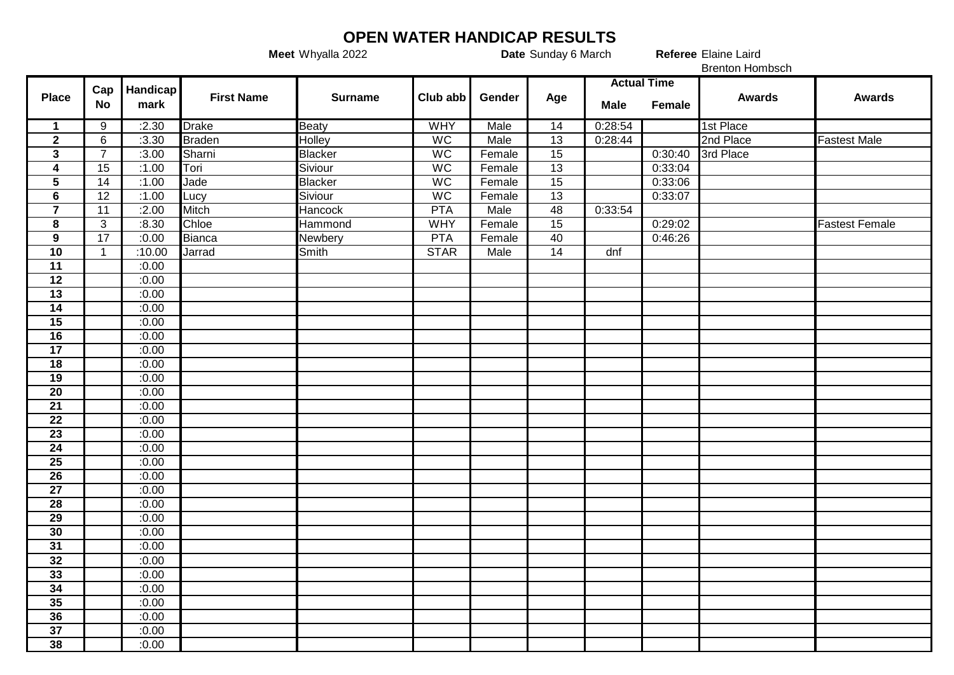## **OPEN WATER HANDICAP RESULTS**<br>Date Sunday 6 March

**Meet** Whyalla 2022 **Date** Sunday 6 March **Referee** 

Referee Elaine Laird

|                         |                  |                  |                   |                |                 |        |     | <b>Brenton Hombsch</b> |         |               |                       |
|-------------------------|------------------|------------------|-------------------|----------------|-----------------|--------|-----|------------------------|---------|---------------|-----------------------|
| <b>Place</b>            | Cap<br><b>No</b> | Handicap<br>mark | <b>First Name</b> | <b>Surname</b> | Club abb        | Gender | Age | <b>Actual Time</b>     |         |               |                       |
|                         |                  |                  |                   |                |                 |        |     | <b>Male</b>            | Female  | <b>Awards</b> | <b>Awards</b>         |
| $\mathbf 1$             | 9                | :2.30            | <b>Drake</b>      | <b>Beaty</b>   | <b>WHY</b>      | Male   | 14  | 0:28:54                |         | 1st Place     |                       |
| $\overline{2}$          | $6\phantom{1}6$  | :3.30            | <b>Braden</b>     | <b>Holley</b>  | $\overline{WC}$ | Male   | 13  | 0:28:44                |         | 2nd Place     | <b>Fastest Male</b>   |
| $\mathbf{3}$            | $\overline{7}$   | :3.00            | Sharni            | <b>Blacker</b> | WC              | Female | 15  |                        | 0:30:40 | 3rd Place     |                       |
| $\overline{\mathbf{4}}$ | $\overline{15}$  | :1.00            | Tori              | Siviour        | <b>WC</b>       | Female | 13  |                        | 0:33:04 |               |                       |
| $\overline{\mathbf{5}}$ | $\overline{14}$  | :1.00            | Jade              | Blacker        | <b>WC</b>       | Female | 15  |                        | 0:33:06 |               |                       |
| $\overline{\mathbf{6}}$ | $\overline{12}$  | :1.00            | Lucy              | Siviour        | <b>WC</b>       | Female | 13  |                        | 0:33:07 |               |                       |
| $\overline{\mathbf{7}}$ | 11               | :2.00            | Mitch             | <b>Hancock</b> | <b>PTA</b>      | Male   | 48  | 0:33:54                |         |               |                       |
| 8                       | 3                | :8.30            | Chloe             | Hammond        | <b>WHY</b>      | Female | 15  |                        | 0:29:02 |               | <b>Fastest Female</b> |
| $\mathbf{9}$            | $\overline{17}$  | :0.00            | <b>Bianca</b>     | Newbery        | <b>PTA</b>      | Female | 40  |                        | 0:46:26 |               |                       |
| 10                      | $\overline{1}$   | :10.00           | Jarrad            | Smith          | <b>STAR</b>     | Male   | 14  | dnf                    |         |               |                       |
| 11                      |                  | :0.00            |                   |                |                 |        |     |                        |         |               |                       |
| $\overline{12}$         |                  | :0.00            |                   |                |                 |        |     |                        |         |               |                       |
| 13                      |                  | :0.00            |                   |                |                 |        |     |                        |         |               |                       |
| 14                      |                  | :0.00            |                   |                |                 |        |     |                        |         |               |                       |
| $\overline{15}$         |                  | :0.00            |                   |                |                 |        |     |                        |         |               |                       |
| 16                      |                  | :0.00            |                   |                |                 |        |     |                        |         |               |                       |
| $\overline{17}$         |                  | :0.00            |                   |                |                 |        |     |                        |         |               |                       |
| 18                      |                  | :0.00            |                   |                |                 |        |     |                        |         |               |                       |
| 19                      |                  | :0.00            |                   |                |                 |        |     |                        |         |               |                       |
| $\overline{20}$         |                  | :0.00            |                   |                |                 |        |     |                        |         |               |                       |
| $\overline{21}$         |                  | :0.00            |                   |                |                 |        |     |                        |         |               |                       |
| $\overline{22}$         |                  | :0.00            |                   |                |                 |        |     |                        |         |               |                       |
| 23                      |                  | :0.00            |                   |                |                 |        |     |                        |         |               |                       |
| $\overline{24}$         |                  | :0.00            |                   |                |                 |        |     |                        |         |               |                       |
| $\overline{25}$         |                  | :0.00            |                   |                |                 |        |     |                        |         |               |                       |
| $\overline{26}$         |                  | :0.00            |                   |                |                 |        |     |                        |         |               |                       |
| $\overline{27}$         |                  | :0.00            |                   |                |                 |        |     |                        |         |               |                       |
| 28                      |                  | :0.00            |                   |                |                 |        |     |                        |         |               |                       |
| 29                      |                  | :0.00            |                   |                |                 |        |     |                        |         |               |                       |
| 30                      |                  | :0.00            |                   |                |                 |        |     |                        |         |               |                       |
| 31                      |                  | :0.00            |                   |                |                 |        |     |                        |         |               |                       |
| 32                      |                  | :0.00            |                   |                |                 |        |     |                        |         |               |                       |
| 33                      |                  | :0.00            |                   |                |                 |        |     |                        |         |               |                       |
| 34                      |                  | :0.00            |                   |                |                 |        |     |                        |         |               |                       |
| 35                      |                  | :0.00            |                   |                |                 |        |     |                        |         |               |                       |
| 36                      |                  | :0.00            |                   |                |                 |        |     |                        |         |               |                       |
| $\overline{37}$         |                  | :0.00            |                   |                |                 |        |     |                        |         |               |                       |
| 38                      |                  | :0.00            |                   |                |                 |        |     |                        |         |               |                       |
|                         |                  |                  |                   |                |                 |        |     |                        |         |               |                       |